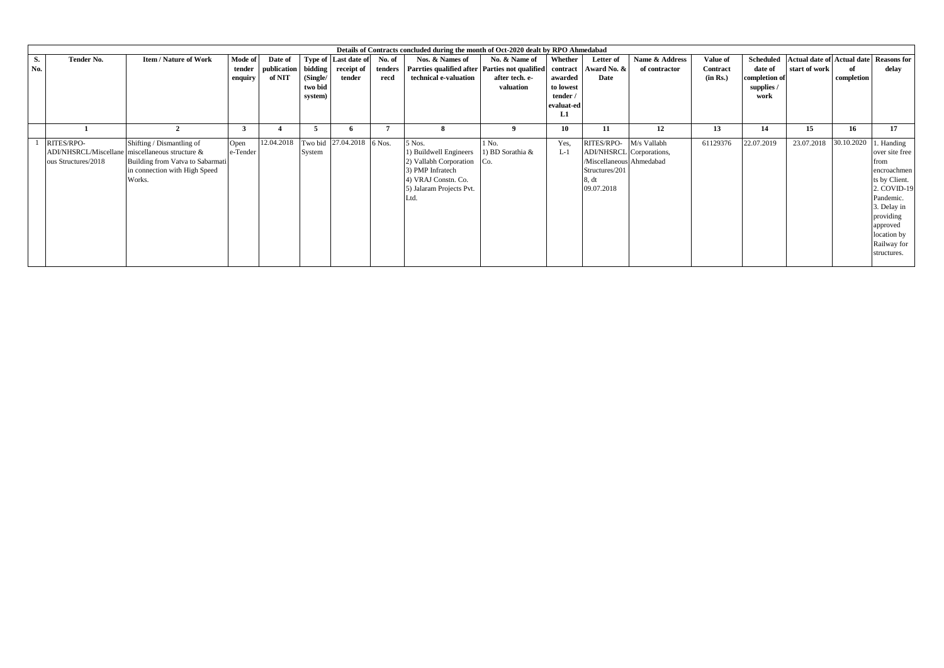|     |                                                 |                                  |          |                     |          |                           |         | Details of Contracts concluded during the month of Oct-2020 dealt by RPO Ahmedabad |                  |                |                          |                |          |                  |                                   |            |                    |
|-----|-------------------------------------------------|----------------------------------|----------|---------------------|----------|---------------------------|---------|------------------------------------------------------------------------------------|------------------|----------------|--------------------------|----------------|----------|------------------|-----------------------------------|------------|--------------------|
| S.  | Tender No.                                      | <b>Item / Nature of Work</b>     | Mode of  | Date of             |          | Type of Last date of      | No. of  | Nos. & Names of                                                                    | No. & Name of    | <b>Whether</b> | Letter of                | Name & Address | Value of | <b>Scheduled</b> | <b>Actual date of Actual date</b> |            | <b>Reasons for</b> |
| No. |                                                 |                                  | tender   | publication bidding |          | receipt of                | tenders | Parrties qualified after Parties not qualified                                     |                  |                | contract Award No. &     | of contractor  | Contract | date of          | start of work                     | of         | delay              |
|     |                                                 |                                  | enquiry  | of NIT              | (Single/ | tender                    | recd    | technical e-valuation                                                              | after tech. e-   | awarded        | Date                     |                | (in Rs.) | completion of    |                                   | completion |                    |
|     |                                                 |                                  |          |                     | two bid  |                           |         |                                                                                    | valuation        | to lowest      |                          |                |          | supplies /       |                                   |            |                    |
|     |                                                 |                                  |          |                     | system)  |                           |         |                                                                                    |                  | tender /       |                          |                |          | work             |                                   |            |                    |
|     |                                                 |                                  |          |                     |          |                           |         |                                                                                    |                  | evaluat-ed     |                          |                |          |                  |                                   |            |                    |
|     |                                                 |                                  |          |                     |          |                           |         |                                                                                    |                  | L1             |                          |                |          |                  |                                   |            |                    |
|     |                                                 | $\overline{2}$                   | $\cdot$  |                     |          |                           |         |                                                                                    |                  | 10             | 11                       | 12             | 13       | 14               | 15                                | 16         | 17                 |
|     | RITES/RPO-                                      | Shifting / Dismantling of        | Open     | 12.04.2018          |          | Two bid 27.04.2018 6 Nos. |         | 5 Nos.                                                                             | 1 No.            | Yes,           | RITES/RPO-               | M/s Vallabh    | 61129376 | 22.07.2019       | 23.07.2018                        | 30.10.2020 | . Handing          |
|     | ADI/NHSRCL/Miscellane miscellaneous structure & |                                  | e-Tender |                     | System   |                           |         | 1) Buildwell Engineers                                                             | 1) BD Sorathia & | $L-1$          | ADI/NHSRCL Corporations, |                |          |                  |                                   |            | over site free     |
|     | ous Structures/2018                             | Building from Vatva to Sabarmati |          |                     |          |                           |         | 2) Vallabh Corporation                                                             |                  |                | /Miscellaneous Ahmedabad |                |          |                  |                                   |            | from               |
|     |                                                 | in connection with High Speed    |          |                     |          |                           |         | 3) PMP Infratech                                                                   |                  |                | Structures/201           |                |          |                  |                                   |            | encroachmen        |
|     |                                                 | Works.                           |          |                     |          |                           |         | 4) VRAJ Constn. Co.                                                                |                  |                | 8. dt                    |                |          |                  |                                   |            | ts by Client.      |
|     |                                                 |                                  |          |                     |          |                           |         | 5) Jalaram Projects Pvt.                                                           |                  |                | 09.07.2018               |                |          |                  |                                   |            | 2. COVID-19        |
|     |                                                 |                                  |          |                     |          |                           |         | Ltd.                                                                               |                  |                |                          |                |          |                  |                                   |            | Pandemic.          |
|     |                                                 |                                  |          |                     |          |                           |         |                                                                                    |                  |                |                          |                |          |                  |                                   |            | 3. Delay in        |
|     |                                                 |                                  |          |                     |          |                           |         |                                                                                    |                  |                |                          |                |          |                  |                                   |            | providing          |
|     |                                                 |                                  |          |                     |          |                           |         |                                                                                    |                  |                |                          |                |          |                  |                                   |            | approved           |
|     |                                                 |                                  |          |                     |          |                           |         |                                                                                    |                  |                |                          |                |          |                  |                                   |            | location by        |
|     |                                                 |                                  |          |                     |          |                           |         |                                                                                    |                  |                |                          |                |          |                  |                                   |            | Railway for        |
|     |                                                 |                                  |          |                     |          |                           |         |                                                                                    |                  |                |                          |                |          |                  |                                   |            | structures.        |
|     |                                                 |                                  |          |                     |          |                           |         |                                                                                    |                  |                |                          |                |          |                  |                                   |            |                    |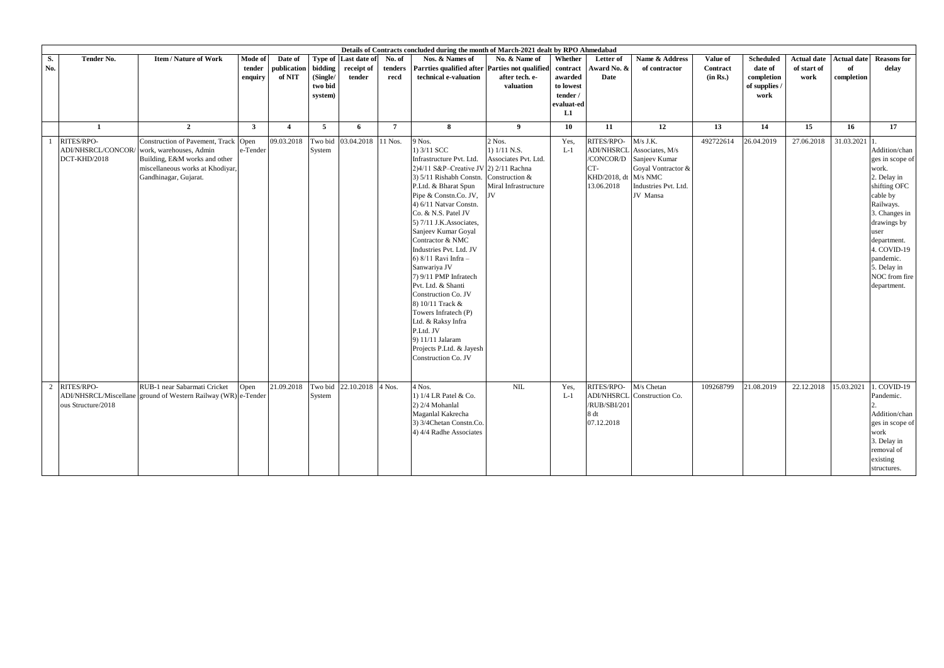|           | Details of Contracts concluded during the month of March-2021 dealt by RPO Ahmedabad |                                                                                                                                                               |                              |                                  |                                |                                      |                           |                                                                                                                                                                                                                                                                                                                                                                                                                                                                                                                                                                                                                   |                                                                        |                                           |                                                                                           |                                                                                                          |                                  |                                           |                                           |                                        |                                                                                                                                                                                                                                     |
|-----------|--------------------------------------------------------------------------------------|---------------------------------------------------------------------------------------------------------------------------------------------------------------|------------------------------|----------------------------------|--------------------------------|--------------------------------------|---------------------------|-------------------------------------------------------------------------------------------------------------------------------------------------------------------------------------------------------------------------------------------------------------------------------------------------------------------------------------------------------------------------------------------------------------------------------------------------------------------------------------------------------------------------------------------------------------------------------------------------------------------|------------------------------------------------------------------------|-------------------------------------------|-------------------------------------------------------------------------------------------|----------------------------------------------------------------------------------------------------------|----------------------------------|-------------------------------------------|-------------------------------------------|----------------------------------------|-------------------------------------------------------------------------------------------------------------------------------------------------------------------------------------------------------------------------------------|
| S.<br>No. | <b>Tender No.</b>                                                                    | <b>Item/Nature of Work</b>                                                                                                                                    | Mode of<br>tender<br>enquiry | Date of<br>publication<br>of NIT | Type of<br>bidding<br>(Single/ | Last date of<br>receipt of<br>tender | No. of<br>tenders<br>recd | Nos. & Names of<br>Parrties qualified after Parties not qualified<br>technical e-valuation                                                                                                                                                                                                                                                                                                                                                                                                                                                                                                                        | No. & Name of<br>after tech. e-                                        | Whether<br>contract<br>awarded            | Letter of<br>Award No. &<br>Date                                                          | Name & Address<br>of contractor                                                                          | Value of<br>Contract<br>(in Rs.) | <b>Scheduled</b><br>date of<br>completion | <b>Actual date</b><br>of start of<br>work | <b>Actual date</b><br>of<br>completion | <b>Reasons for</b><br>delay                                                                                                                                                                                                         |
|           |                                                                                      |                                                                                                                                                               |                              |                                  | two bid<br>system)             |                                      |                           |                                                                                                                                                                                                                                                                                                                                                                                                                                                                                                                                                                                                                   | valuation                                                              | to lowest<br>tender /<br>evaluat-ed<br>L1 |                                                                                           |                                                                                                          |                                  | of supplies /<br>work                     |                                           |                                        |                                                                                                                                                                                                                                     |
|           | -1                                                                                   | $\overline{2}$                                                                                                                                                | $\mathbf{3}$                 | $\overline{4}$                   | $5^{\circ}$                    | 6                                    | $7\phantom{.0}$           | 8                                                                                                                                                                                                                                                                                                                                                                                                                                                                                                                                                                                                                 | 9                                                                      | 10                                        | 11                                                                                        | 12                                                                                                       | 13                               | 14                                        | 15                                        | 16                                     | 17                                                                                                                                                                                                                                  |
|           | RITES/RPO-<br>ADI/NHSRCL/CONCOR/<br>DCT-KHD/2018                                     | Construction of Pavement, Track Open<br>work, warehouses, Admin<br>Building, E&M works and other<br>miscellaneous works at Khodiyar,<br>Gandhinagar, Gujarat. | e-Tender                     | 09.03.2018                       | Two bid<br>System              | 03.04.2018                           | 11 Nos.                   | 9 Nos.<br>1) 3/11 SCC<br>Infrastructure Pvt. Ltd.<br>2)4/11 S&P-Creative JV 2) 2/11 Rachna<br>3) 5/11 Rishabh Constn. Construction &<br>P.Ltd. & Bharat Spun<br>Pipe & Constn.Co. JV, JV<br>4) 6/11 Natvar Constn.<br>Co. & N.S. Patel JV<br>5) 7/11 J.K. Associates,<br>Sanjeev Kumar Goyal<br>Contractor & NMC<br>Industries Pvt. Ltd. JV<br>6) $8/11$ Ravi Infra -<br>Sanwariya JV<br>7) 9/11 PMP Infratech<br>Pvt. Ltd. & Shanti<br>Construction Co. JV<br>8) 10/11 Track &<br>Towers Infratech (P)<br>Ltd. & Raksy Infra<br>P.Ltd. JV<br>9) 11/11 Jalaram<br>Projects P.Ltd. & Jayesh<br>Construction Co. JV | 2 Nos.<br>1) 1/11 N.S.<br>Associates Pvt. Ltd.<br>Miral Infrastructure | Yes,<br>$L-1$                             | RITES/RPO-<br><b>ADI/NHSRCL</b><br>/CONCOR/D<br>CT-<br>KHD/2018, dt M/s NMC<br>13.06.2018 | $M/s$ J.K.<br>Associates, M/s<br>Sanjeev Kumar<br>Goyal Vontractor &<br>Industries Pvt. Ltd.<br>JV Mansa | 492722614                        | 26.04.2019                                | 27.06.2018                                | 31.03.2021 1                           | Addition/chan<br>ges in scope of<br>work.<br>2. Delay in<br>shifting OFC<br>cable by<br>Railways.<br>3. Changes in<br>drawings by<br>user<br>department.<br>4. COVID-19<br>pandemic.<br>5. Delay in<br>NOC from fire<br>department. |
|           | RITES/RPO-<br>ous Structure/2018                                                     | RUB-1 near Sabarmati Cricket<br>ADI/NHSRCL/Miscellane ground of Western Railway (WR) e-Tender                                                                 | Open                         | 21.09.2018                       | System                         | Two bid 22.10.2018                   | 4 Nos.                    | 4 Nos.<br>1) 1/4 LR Patel & Co.<br>2) 2/4 Mohanlal<br>Maganlal Kakrecha<br>3) 3/4Chetan Constn.Co.<br>4) 4/4 Radhe Associates                                                                                                                                                                                                                                                                                                                                                                                                                                                                                     | $\text{NIL}$                                                           | Yes,<br>$L-1$                             | RITES/RPO-<br><b>ADI/NHSRCL</b><br>/RUB/SBI/201<br>8 dt<br>07.12.2018                     | M/s Chetan<br>Construction Co.                                                                           | 109268799                        | 21.08.2019                                | 22.12.2018                                | 15.03.2021                             | 1. COVID-19<br>Pandemic.<br>Addition/chan<br>ges in scope of<br>work<br>3. Delay in<br>removal of<br>existing<br>structures.                                                                                                        |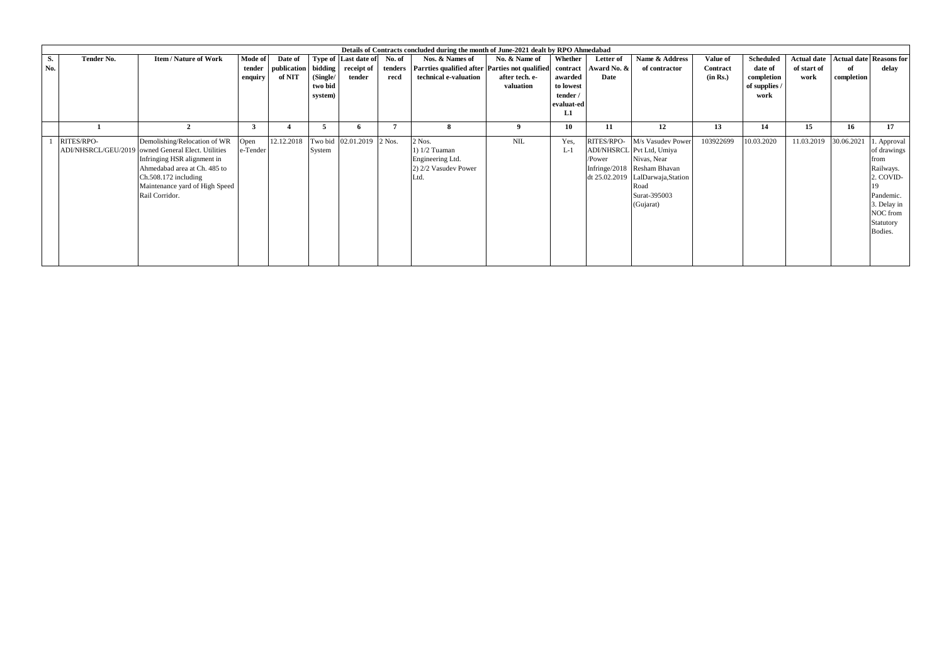|     |            |                                                    |                         |             |          |                           |        | Details of Contracts concluded during the month of June-2021 dealt by RPO Ahmedabad |                |                  |            |                                   |           |               |                    |            |                                |
|-----|------------|----------------------------------------------------|-------------------------|-------------|----------|---------------------------|--------|-------------------------------------------------------------------------------------|----------------|------------------|------------|-----------------------------------|-----------|---------------|--------------------|------------|--------------------------------|
| S.  | Tender No. | <b>Item/Nature of Work</b>                         | Mode of                 | Date of     |          | Type of Last date of      | No. of | Nos. & Names of                                                                     | No. & Name of  | Whether          | Letter of  | Name & Address                    | Value of  | Scheduled     | <b>Actual date</b> |            | <b>Actual date Reasons for</b> |
| No. |            |                                                    | tender                  | publication |          | bidding receipt of        |        | tenders Parrties qualified after Parties not qualified contract Award No. &         |                |                  |            | of contractor                     | Contract  | date of       | of start of        | of         | delay                          |
|     |            |                                                    | enquiry                 | of NIT      | (Single/ | tender                    | recd   | technical e-valuation                                                               | after tech. e- | awarded          | Date       |                                   | (in Rs.)  | completion    | work               | completion |                                |
|     |            |                                                    |                         |             | two bid  |                           |        |                                                                                     | valuation      | to lowest        |            |                                   |           | of supplies / |                    |            |                                |
|     |            |                                                    |                         |             | system)  |                           |        |                                                                                     |                | tender /         |            |                                   |           | work          |                    |            |                                |
|     |            |                                                    |                         |             |          |                           |        |                                                                                     |                | evaluat-ed<br>L1 |            |                                   |           |               |                    |            |                                |
|     |            |                                                    |                         |             |          |                           |        |                                                                                     |                |                  |            |                                   |           |               |                    |            |                                |
|     |            |                                                    | $\overline{\mathbf{3}}$ |             | 5        |                           |        | 8                                                                                   |                | 10               | 11         | 12                                | 13        | 14            | 15                 | 16         | 17                             |
|     | RITES/RPO- | Demolishing/Relocation of WR                       | Open                    | 12.12.2018  |          | Two bid 02.01.2019 2 Nos. |        | 2 Nos.                                                                              | $\rm NIL$      | Yes.             | RITES/RPO- | M/s Vasudev Power                 | 103922699 | 10.03.2020    | 11.03.2019         | 30.06.2021 | l. Approval                    |
|     |            | ADI/NHSRCL/GEU/2019 owned General Elect. Utilities | e-Tender                |             | System   |                           |        | 1) $1/2$ Tuaman                                                                     |                | $L-1$            |            | ADI/NHSRCL Pvt Ltd, Umiya         |           |               |                    |            | of drawings                    |
|     |            | Infringing HSR alignment in                        |                         |             |          |                           |        | Engineering Ltd.                                                                    |                |                  | /Power     | Nivas, Near                       |           |               |                    |            | from                           |
|     |            | Ahmedabad area at Ch. 485 to                       |                         |             |          |                           |        | 2) 2/2 Vasudev Power                                                                |                |                  |            | Infringe/2018 Resham Bhavan       |           |               |                    |            | Railways.                      |
|     |            | $Ch.508.172$ including                             |                         |             |          |                           |        | Ltd.                                                                                |                |                  |            | dt 25.02.2019 LalDarwaja, Station |           |               |                    |            | 2. COVID-                      |
|     |            | Maintenance yard of High Speed                     |                         |             |          |                           |        |                                                                                     |                |                  |            | Road                              |           |               |                    |            | 19                             |
|     |            | Rail Corridor.                                     |                         |             |          |                           |        |                                                                                     |                |                  |            | Surat-395003                      |           |               |                    |            | Pandemic.                      |
|     |            |                                                    |                         |             |          |                           |        |                                                                                     |                |                  |            | (Gujarat)                         |           |               |                    |            | 3. Delay in                    |
|     |            |                                                    |                         |             |          |                           |        |                                                                                     |                |                  |            |                                   |           |               |                    |            | NOC from                       |
|     |            |                                                    |                         |             |          |                           |        |                                                                                     |                |                  |            |                                   |           |               |                    |            | Statutory                      |
|     |            |                                                    |                         |             |          |                           |        |                                                                                     |                |                  |            |                                   |           |               |                    |            | Bodies.                        |
|     |            |                                                    |                         |             |          |                           |        |                                                                                     |                |                  |            |                                   |           |               |                    |            |                                |
|     |            |                                                    |                         |             |          |                           |        |                                                                                     |                |                  |            |                                   |           |               |                    |            |                                |
|     |            |                                                    |                         |             |          |                           |        |                                                                                     |                |                  |            |                                   |           |               |                    |            |                                |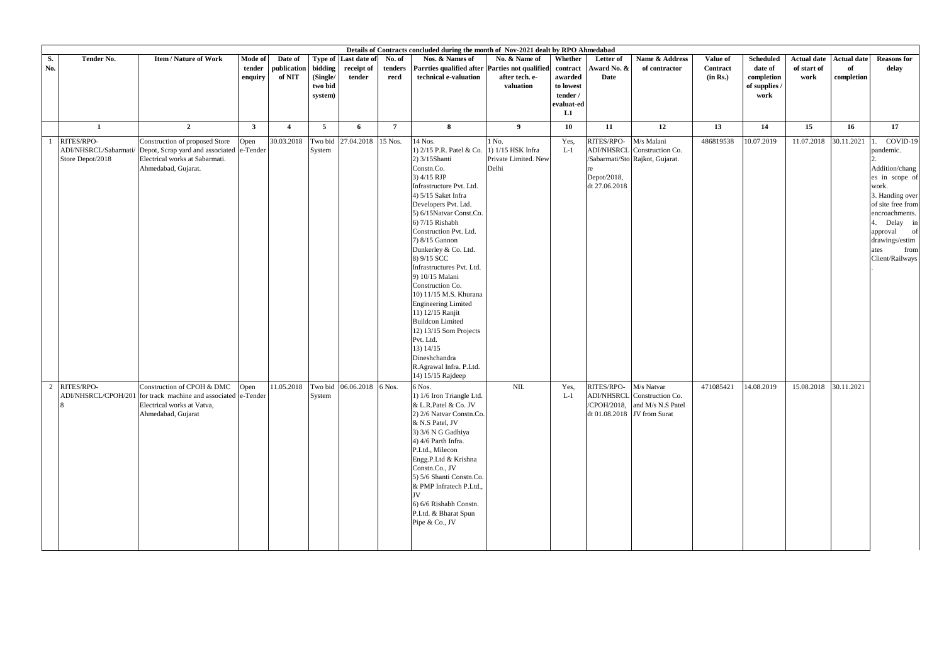| Details of Contracts concluded during the month of Nov-2021 dealt by RPO Ahmedabad<br>S.<br><b>Item/Nature of Work</b><br>Name & Address<br><b>Actual date</b><br>Tender No.<br>Mode of<br>Date of<br>Type of<br>Last date of<br>No. of<br>Nos. & Names of<br>No. & Name of<br>Whether<br>Letter of<br>Value of<br><b>Scheduled</b><br><b>Actual date</b> |                                                         |                                                                                                                                      |                   |                       |                                           |                      |                 |                                                                                                                                                                                                                                                                                                                                                                                                                                                                                                                                                                                              |                                                             |                                                                  |                                                          |                                                                              |                      |                                                |                     |                  |                                                                                                                                                                                                                                  |
|-----------------------------------------------------------------------------------------------------------------------------------------------------------------------------------------------------------------------------------------------------------------------------------------------------------------------------------------------------------|---------------------------------------------------------|--------------------------------------------------------------------------------------------------------------------------------------|-------------------|-----------------------|-------------------------------------------|----------------------|-----------------|----------------------------------------------------------------------------------------------------------------------------------------------------------------------------------------------------------------------------------------------------------------------------------------------------------------------------------------------------------------------------------------------------------------------------------------------------------------------------------------------------------------------------------------------------------------------------------------------|-------------------------------------------------------------|------------------------------------------------------------------|----------------------------------------------------------|------------------------------------------------------------------------------|----------------------|------------------------------------------------|---------------------|------------------|----------------------------------------------------------------------------------------------------------------------------------------------------------------------------------------------------------------------------------|
| No.                                                                                                                                                                                                                                                                                                                                                       |                                                         |                                                                                                                                      | tender<br>enquiry | publication<br>of NIT | bidding<br>(Single/<br>two bid<br>system) | receipt of<br>tender | tenders<br>recd | Parrties qualified after<br>technical e-valuation                                                                                                                                                                                                                                                                                                                                                                                                                                                                                                                                            | arties not qualified?<br>after tech. e-<br>valuation        | contract<br>awarded<br>to lowest<br>tender /<br>valuat-ed:<br>L1 | Award No. &<br>Date                                      | of contractor                                                                | Contract<br>(in Rs.) | date of<br>completion<br>of supplies /<br>work | of start of<br>work | of<br>completion | <b>Reasons for</b><br>delay                                                                                                                                                                                                      |
|                                                                                                                                                                                                                                                                                                                                                           | 1                                                       | $\overline{2}$                                                                                                                       | $\mathbf{3}$      | $\overline{4}$        | $5\overline{5}$                           | 6                    | $7\phantom{.0}$ | 8                                                                                                                                                                                                                                                                                                                                                                                                                                                                                                                                                                                            | 9                                                           | 10                                                               | 11                                                       | 12                                                                           | 13                   | 14                                             | 15                  | 16               | 17                                                                                                                                                                                                                               |
|                                                                                                                                                                                                                                                                                                                                                           | RITES/RPO-<br>ADI/NHSRCL/Sabarmati/<br>Store Depot/2018 | Construction of proposed Store<br>Depot, Scrap yard and associated e-Tender<br>Electrical works at Sabarmati.<br>Ahmedabad, Gujarat. | Open              | 30.03.2018            | Two bid<br>System                         | 27.04.2018           | 15 Nos.         | 14 Nos.<br>1) 2/15 P.R. Patel & Co<br>2) 3/15Shanti<br>Constn.Co.<br>3) 4/15 RJP<br>Infrastructure Pvt. Ltd.<br>4) 5/15 Saket Infra<br>Developers Pvt. Ltd.<br>5) 6/15Natvar Const.Co.<br>6) 7/15 Rishabh<br>Construction Pvt. Ltd.<br>7) 8/15 Gannon<br>Dunkerley & Co. Ltd.<br>8) 9/15 SCC<br>Infrastructures Pvt. Ltd.<br>9) 10/15 Malani<br>Construction Co.<br>10) 11/15 M.S. Khurana<br><b>Engineering Limited</b><br>11) 12/15 Ranjit<br><b>Buildcon Limited</b><br>12) 13/15 Som Projects<br>Pvt. Ltd.<br>13) 14/15<br>Dineshchandra<br>R.Agrawal Infra. P.Ltd.<br>14) 15/15 Rajdeep | 1 No.<br>1) 1/15 HSK Infra<br>Private Limited. New<br>Delhi | Yes,<br>$L-1$                                                    | RITES/RPO-<br>Depot/2018,<br>dt 27.06.2018               | M/s Malani<br>ADI/NHSRCL Construction Co.<br>/Sabarmati/Sto Rajkot, Gujarat. | 486819538            | 10.07.2019                                     | 11.07.2018          | 30.11.2021       | COVID-19<br>$\mathbf{11}$<br>pandemic.<br>Addition/chang<br>es in scope of<br>work.<br>3. Handing over<br>of site free from<br>encroachments.<br>4. Delay in<br>approval of<br>drawings/estim<br>from<br>ates<br>Client/Railways |
| $\overline{2}$                                                                                                                                                                                                                                                                                                                                            | RITES/RPO-<br>ADI/NHSRCL/CPOH/201                       | Construction of CPOH & DMC<br>for track machine and associated e-Tender<br>Electrical works at Vatva,<br>Ahmedabad, Gujarat          | Open              | 11.05.2018            | Two bid<br>System                         | 06.06.2018           | 6 Nos.          | 6 Nos.<br>1) 1/6 Iron Triangle Ltd.<br>& L.R.Patel & Co. JV<br>2) 2/6 Natvar Constn.Co.<br>& N.S Patel, JV<br>3) 3/6 N G Gadhiya<br>4) 4/6 Parth Infra.<br>P.Ltd., Milecon<br>Engg.P.Ltd & Krishna<br>Constn.Co., JV<br>5) 5/6 Shanti Constn.Co.<br>& PMP Infratech P.Ltd<br><b>IV</b><br>6) 6/6 Rishabh Constn.<br>P.Ltd. & Bharat Spun<br>Pipe & Co., JV                                                                                                                                                                                                                                   | $\text{NIL}$                                                | Yes.<br>$L-1$                                                    | RITES/RPO-<br>/CPOH/2018,<br>dt 01.08.2018 JV from Surat | M/s Natvar<br>ADI/NHSRCL Construction Co.<br>and M/s N.S Patel               | 471085421            | 14.08.2019                                     | 15.08.2018          | 30.11.2021       |                                                                                                                                                                                                                                  |